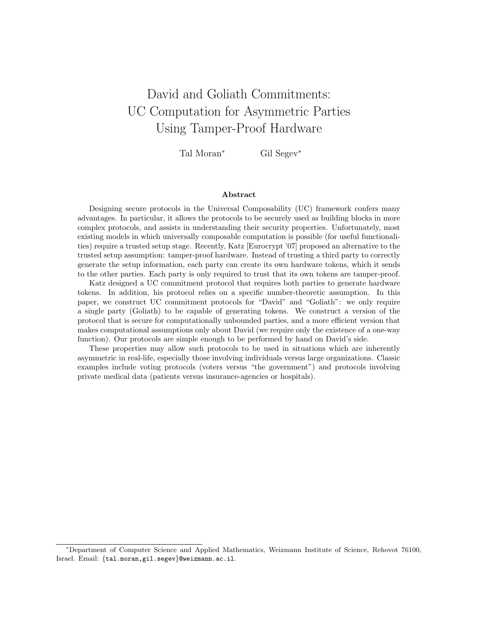# David and Goliath Commitments: UC Computation for Asymmetric Parties Using Tamper-Proof Hardware

Tal Moran<sup>∗</sup> Gil Segev<sup>∗</sup>

#### Abstract

Designing secure protocols in the Universal Composability (UC) framework confers many advantages. In particular, it allows the protocols to be securely used as building blocks in more complex protocols, and assists in understanding their security properties. Unfortunately, most existing models in which universally composable computation is possible (for useful functionalities) require a trusted setup stage. Recently, Katz [Eurocrypt '07] proposed an alternative to the trusted setup assumption: tamper-proof hardware. Instead of trusting a third party to correctly generate the setup information, each party can create its own hardware tokens, which it sends to the other parties. Each party is only required to trust that its own tokens are tamper-proof.

Katz designed a UC commitment protocol that requires both parties to generate hardware tokens. In addition, his protocol relies on a specific number-theoretic assumption. In this paper, we construct UC commitment protocols for "David" and "Goliath": we only require a single party (Goliath) to be capable of generating tokens. We construct a version of the protocol that is secure for computationally unbounded parties, and a more efficient version that makes computational assumptions only about David (we require only the existence of a one-way function). Our protocols are simple enough to be performed by hand on David's side.

These properties may allow such protocols to be used in situations which are inherently asymmetric in real-life, especially those involving individuals versus large organizations. Classic examples include voting protocols (voters versus "the government") and protocols involving private medical data (patients versus insurance-agencies or hospitals).

<sup>∗</sup>Department of Computer Science and Applied Mathematics, Weizmann Institute of Science, Rehovot 76100, Israel. Email: {tal.moran,gil.segev}@weizmann.ac.il.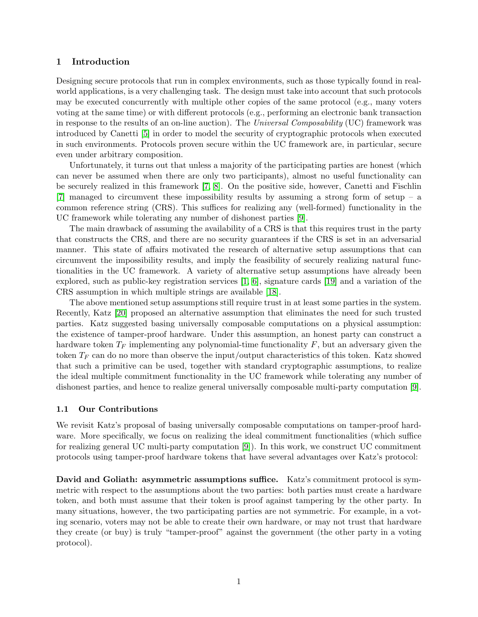## 1 Introduction

Designing secure protocols that run in complex environments, such as those typically found in realworld applications, is a very challenging task. The design must take into account that such protocols may be executed concurrently with multiple other copies of the same protocol (e.g., many voters voting at the same time) or with different protocols (e.g., performing an electronic bank transaction in response to the results of an on-line auction). The Universal Composability (UC) framework was introduced by Canetti [\[5\]](#page-15-0) in order to model the security of cryptographic protocols when executed in such environments. Protocols proven secure within the UC framework are, in particular, secure even under arbitrary composition.

Unfortunately, it turns out that unless a majority of the participating parties are honest (which can never be assumed when there are only two participants), almost no useful functionality can be securely realized in this framework [\[7,](#page-16-0) [8\]](#page-16-1). On the positive side, however, Canetti and Fischlin [\[7\]](#page-16-0) managed to circumvent these impossibility results by assuming a strong form of setup – a common reference string (CRS). This suffices for realizing any (well-formed) functionality in the UC framework while tolerating any number of dishonest parties [\[9\]](#page-16-2).

The main drawback of assuming the availability of a CRS is that this requires trust in the party that constructs the CRS, and there are no security guarantees if the CRS is set in an adversarial manner. This state of affairs motivated the research of alternative setup assumptions that can circumvent the impossibility results, and imply the feasibility of securely realizing natural functionalities in the UC framework. A variety of alternative setup assumptions have already been explored, such as public-key registration services [\[1,](#page-15-1) [6\]](#page-15-2), signature cards [\[19\]](#page-16-3) and a variation of the CRS assumption in which multiple strings are available [\[18\]](#page-16-4).

The above mentioned setup assumptions still require trust in at least some parties in the system. Recently, Katz [\[20\]](#page-16-5) proposed an alternative assumption that eliminates the need for such trusted parties. Katz suggested basing universally composable computations on a physical assumption: the existence of tamper-proof hardware. Under this assumption, an honest party can construct a hardware token  $T_F$  implementing any polynomial-time functionality  $F$ , but an adversary given the token  $T_F$  can do no more than observe the input/output characteristics of this token. Katz showed that such a primitive can be used, together with standard cryptographic assumptions, to realize the ideal multiple commitment functionality in the UC framework while tolerating any number of dishonest parties, and hence to realize general universally composable multi-party computation [\[9\]](#page-16-2).

#### 1.1 Our Contributions

We revisit Katz's proposal of basing universally composable computations on tamper-proof hardware. More specifically, we focus on realizing the ideal commitment functionalities (which suffice for realizing general UC multi-party computation [\[9\]](#page-16-2)). In this work, we construct UC commitment protocols using tamper-proof hardware tokens that have several advantages over Katz's protocol:

David and Goliath: asymmetric assumptions suffice. Katz's commitment protocol is symmetric with respect to the assumptions about the two parties: both parties must create a hardware token, and both must assume that their token is proof against tampering by the other party. In many situations, however, the two participating parties are not symmetric. For example, in a voting scenario, voters may not be able to create their own hardware, or may not trust that hardware they create (or buy) is truly "tamper-proof" against the government (the other party in a voting protocol).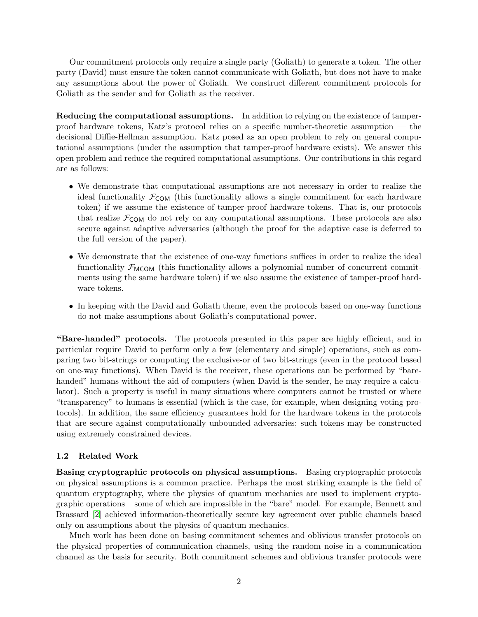Our commitment protocols only require a single party (Goliath) to generate a token. The other party (David) must ensure the token cannot communicate with Goliath, but does not have to make any assumptions about the power of Goliath. We construct different commitment protocols for Goliath as the sender and for Goliath as the receiver.

Reducing the computational assumptions. In addition to relying on the existence of tamperproof hardware tokens, Katz's protocol relies on a specific number-theoretic assumption — the decisional Diffie-Hellman assumption. Katz posed as an open problem to rely on general computational assumptions (under the assumption that tamper-proof hardware exists). We answer this open problem and reduce the required computational assumptions. Our contributions in this regard are as follows:

- We demonstrate that computational assumptions are not necessary in order to realize the ideal functionality  $\mathcal{F}_{COM}$  (this functionality allows a single commitment for each hardware token) if we assume the existence of tamper-proof hardware tokens. That is, our protocols that realize  $\mathcal{F}_{COM}$  do not rely on any computational assumptions. These protocols are also secure against adaptive adversaries (although the proof for the adaptive case is deferred to the full version of the paper).
- We demonstrate that the existence of one-way functions suffices in order to realize the ideal functionality  $\mathcal{F}_{MCOM}$  (this functionality allows a polynomial number of concurrent commitments using the same hardware token) if we also assume the existence of tamper-proof hardware tokens.
- In keeping with the David and Goliath theme, even the protocols based on one-way functions do not make assumptions about Goliath's computational power.

"Bare-handed" protocols. The protocols presented in this paper are highly efficient, and in particular require David to perform only a few (elementary and simple) operations, such as comparing two bit-strings or computing the exclusive-or of two bit-strings (even in the protocol based on one-way functions). When David is the receiver, these operations can be performed by "barehanded" humans without the aid of computers (when David is the sender, he may require a calculator). Such a property is useful in many situations where computers cannot be trusted or where "transparency" to humans is essential (which is the case, for example, when designing voting protocols). In addition, the same efficiency guarantees hold for the hardware tokens in the protocols that are secure against computationally unbounded adversaries; such tokens may be constructed using extremely constrained devices.

## 1.2 Related Work

Basing cryptographic protocols on physical assumptions. Basing cryptographic protocols on physical assumptions is a common practice. Perhaps the most striking example is the field of quantum cryptography, where the physics of quantum mechanics are used to implement cryptographic operations – some of which are impossible in the "bare" model. For example, Bennett and Brassard [\[2\]](#page-15-3) achieved information-theoretically secure key agreement over public channels based only on assumptions about the physics of quantum mechanics.

Much work has been done on basing commitment schemes and oblivious transfer protocols on the physical properties of communication channels, using the random noise in a communication channel as the basis for security. Both commitment schemes and oblivious transfer protocols were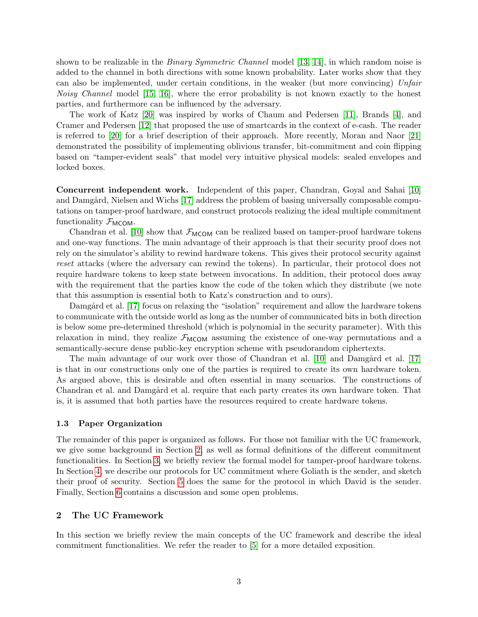shown to be realizable in the *Binary Symmetric Channel* model [\[13,](#page-16-6) [14\]](#page-16-7), in which random noise is added to the channel in both directions with some known probability. Later works show that they can also be implemented, under certain conditions, in the weaker (but more convincing) Unfair Noisy Channel model [\[15,](#page-16-8) [16\]](#page-16-9), where the error probability is not known exactly to the honest parties, and furthermore can be influenced by the adversary.

The work of Katz [\[20\]](#page-16-5) was inspired by works of Chaum and Pedersen [\[11\]](#page-16-10), Brands [\[4\]](#page-15-4), and Cramer and Pedersen [\[12\]](#page-16-11) that proposed the use of smartcards in the context of e-cash. The reader is referred to [\[20\]](#page-16-5) for a brief description of their approach. More recently, Moran and Naor [\[21\]](#page-16-12) demonstrated the possibility of implementing oblivious transfer, bit-commitment and coin flipping based on "tamper-evident seals" that model very intuitive physical models: sealed envelopes and locked boxes.

Concurrent independent work. Independent of this paper, Chandran, Goyal and Sahai [\[10\]](#page-16-13) and Damgård, Nielsen and Wichs [\[17\]](#page-16-14) address the problem of basing universally composable computations on tamper-proof hardware, and construct protocols realizing the ideal multiple commitment functionality  $\mathcal{F}_{MCOM}$ .

Chandran et al. [\[10\]](#page-16-13) show that  $\mathcal{F}_{MCOM}$  can be realized based on tamper-proof hardware tokens and one-way functions. The main advantage of their approach is that their security proof does not rely on the simulator's ability to rewind hardware tokens. This gives their protocol security against reset attacks (where the adversary can rewind the tokens). In particular, their protocol does not require hardware tokens to keep state between invocations. In addition, their protocol does away with the requirement that the parties know the code of the token which they distribute (we note that this assumption is essential both to Katz's construction and to ours).

Damgård et al. [\[17\]](#page-16-14) focus on relaxing the "isolation" requirement and allow the hardware tokens to communicate with the outside world as long as the number of communicated bits in both direction is below some pre-determined threshold (which is polynomial in the security parameter). With this relaxation in mind, they realize  $\mathcal{F}_{MCOM}$  assuming the existence of one-way permutations and a semantically-secure dense public-key encryption scheme with pseudorandom ciphertexts.

The main advantage of our work over those of Chandran et al. [\[10\]](#page-16-13) and Damgård et al. [\[17\]](#page-16-14) is that in our constructions only one of the parties is required to create its own hardware token. As argued above, this is desirable and often essential in many scenarios. The constructions of Chandran et al. and Damgård et al. require that each party creates its own hardware token. That is, it is assumed that both parties have the resources required to create hardware tokens.

#### 1.3 Paper Organization

The remainder of this paper is organized as follows. For those not familiar with the UC framework, we give some background in Section [2,](#page-3-0) as well as formal definitions of the different commitment functionalities. In Section [3,](#page-6-0) we briefly review the formal model for tamper-proof hardware tokens. In Section [4,](#page-7-0) we describe our protocols for UC commitment where Goliath is the sender, and sketch their proof of security. Section [5](#page-11-0) does the same for the protocol in which David is the sender. Finally, Section [6](#page-14-0) contains a discussion and some open problems.

## <span id="page-3-0"></span>2 The UC Framework

In this section we briefly review the main concepts of the UC framework and describe the ideal commitment functionalities. We refer the reader to [\[5\]](#page-15-0) for a more detailed exposition.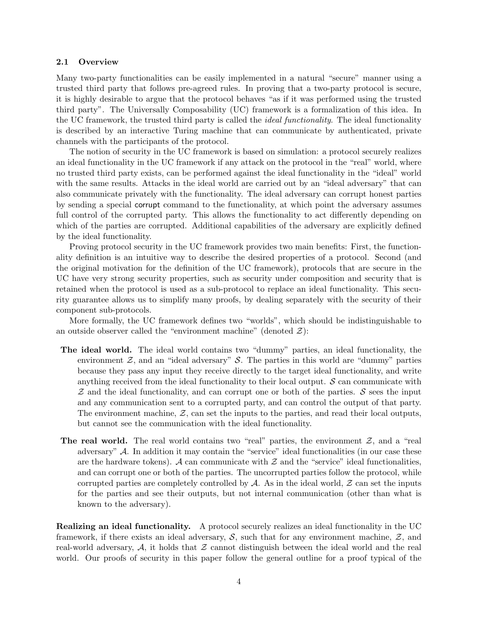#### 2.1 Overview

Many two-party functionalities can be easily implemented in a natural "secure" manner using a trusted third party that follows pre-agreed rules. In proving that a two-party protocol is secure, it is highly desirable to argue that the protocol behaves "as if it was performed using the trusted third party". The Universally Composability (UC) framework is a formalization of this idea. In the UC framework, the trusted third party is called the *ideal functionality*. The ideal functionality is described by an interactive Turing machine that can communicate by authenticated, private channels with the participants of the protocol.

The notion of security in the UC framework is based on simulation: a protocol securely realizes an ideal functionality in the UC framework if any attack on the protocol in the "real" world, where no trusted third party exists, can be performed against the ideal functionality in the "ideal" world with the same results. Attacks in the ideal world are carried out by an "ideal adversary" that can also communicate privately with the functionality. The ideal adversary can corrupt honest parties by sending a special corrupt command to the functionality, at which point the adversary assumes full control of the corrupted party. This allows the functionality to act differently depending on which of the parties are corrupted. Additional capabilities of the adversary are explicitly defined by the ideal functionality.

Proving protocol security in the UC framework provides two main benefits: First, the functionality definition is an intuitive way to describe the desired properties of a protocol. Second (and the original motivation for the definition of the UC framework), protocols that are secure in the UC have very strong security properties, such as security under composition and security that is retained when the protocol is used as a sub-protocol to replace an ideal functionality. This security guarantee allows us to simplify many proofs, by dealing separately with the security of their component sub-protocols.

More formally, the UC framework defines two "worlds", which should be indistinguishable to an outside observer called the "environment machine" (denoted  $\mathcal{Z}$ ):

- The ideal world. The ideal world contains two "dummy" parties, an ideal functionality, the environment  $\mathcal{Z}$ , and an "ideal adversary"  $\mathcal{S}$ . The parties in this world are "dummy" parties because they pass any input they receive directly to the target ideal functionality, and write anything received from the ideal functionality to their local output.  $\mathcal S$  can communicate with  $Z$  and the ideal functionality, and can corrupt one or both of the parties.  $S$  sees the input and any communication sent to a corrupted party, and can control the output of that party. The environment machine,  $\mathcal{Z}$ , can set the inputs to the parties, and read their local outputs, but cannot see the communication with the ideal functionality.
- The real world. The real world contains two "real" parties, the environment  $\mathcal{Z}$ , and a "real" adversary" A. In addition it may contain the "service" ideal functionalities (in our case these are the hardware tokens). A can communicate with  $\mathcal Z$  and the "service" ideal functionalities. and can corrupt one or both of the parties. The uncorrupted parties follow the protocol, while corrupted parties are completely controlled by  $A$ . As in the ideal world,  $Z$  can set the inputs for the parties and see their outputs, but not internal communication (other than what is known to the adversary).

Realizing an ideal functionality. A protocol securely realizes an ideal functionality in the UC framework, if there exists an ideal adversary,  $S$ , such that for any environment machine,  $\mathcal{Z}$ , and real-world adversary,  $A$ , it holds that  $Z$  cannot distinguish between the ideal world and the real world. Our proofs of security in this paper follow the general outline for a proof typical of the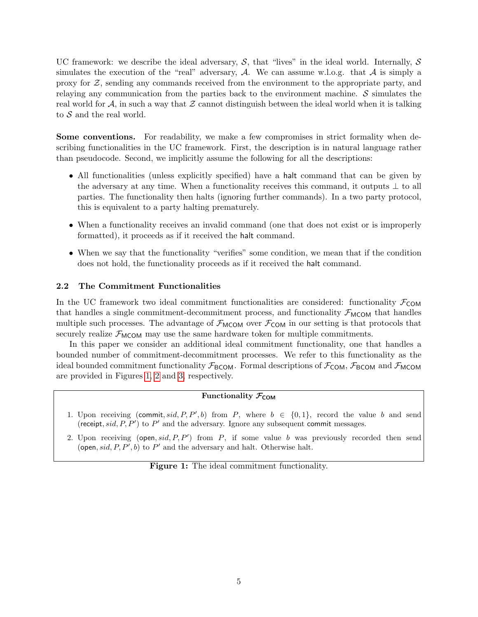UC framework: we describe the ideal adversary,  $S$ , that "lives" in the ideal world. Internally,  $S$ simulates the execution of the "real" adversary,  $A$ . We can assume w.l.o.g. that  $A$  is simply a proxy for  $Z$ , sending any commands received from the environment to the appropriate party, and relaying any communication from the parties back to the environment machine.  $S$  simulates the real world for  $\mathcal{A}$ , in such a way that  $\mathcal Z$  cannot distinguish between the ideal world when it is talking to  $S$  and the real world.

Some conventions. For readability, we make a few compromises in strict formality when describing functionalities in the UC framework. First, the description is in natural language rather than pseudocode. Second, we implicitly assume the following for all the descriptions:

- All functionalities (unless explicitly specified) have a halt command that can be given by the adversary at any time. When a functionality receives this command, it outputs  $\perp$  to all parties. The functionality then halts (ignoring further commands). In a two party protocol, this is equivalent to a party halting prematurely.
- When a functionality receives an invalid command (one that does not exist or is improperly formatted), it proceeds as if it received the halt command.
- When we say that the functionality "verifies" some condition, we mean that if the condition does not hold, the functionality proceeds as if it received the halt command.

## 2.2 The Commitment Functionalities

In the UC framework two ideal commitment functionalities are considered: functionality  $\mathcal{F}_{COM}$ that handles a single commitment-decommitment process, and functionality  $\mathcal{F}_{MCOM}$  that handles multiple such processes. The advantage of  $\mathcal{F}_{MCOM}$  over  $\mathcal{F}_{COM}$  in our setting is that protocols that securely realize  $\mathcal{F}_{MCOM}$  may use the same hardware token for multiple commitments.

In this paper we consider an additional ideal commitment functionality, one that handles a bounded number of commitment-decommitment processes. We refer to this functionality as the ideal bounded commitment functionality  $\mathcal{F}_{\text{BCOM}}$ . Formal descriptions of  $\mathcal{F}_{\text{COM}}$ ,  $\mathcal{F}_{\text{BCOM}}$  and  $\mathcal{F}_{\text{MCOM}}$ are provided in Figures [1,](#page-5-0) [2](#page-6-1) and [3,](#page-6-2) respectively.

## Functionality  $\mathcal{F}_{COM}$

- <span id="page-5-0"></span>1. Upon receiving (commit, sid, P, P', b) from P, where  $b \in \{0,1\}$ , record the value b and send (receipt,  $sid, P, P'$ ) to P' and the adversary. Ignore any subsequent commit messages.
- 2. Upon receiving (open,  $sid, P, P'$ ) from  $P$ , if some value b was previously recorded then send (open,  $sid, P, P', b)$  to  $P'$  and the adversary and halt. Otherwise halt.

Figure 1: The ideal commitment functionality.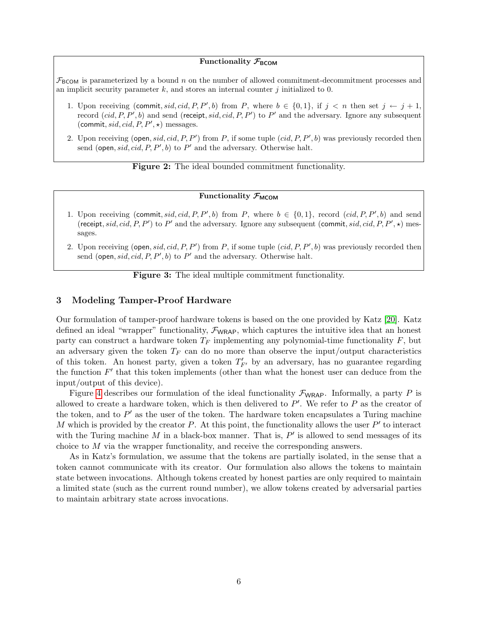#### Functionality  $\mathcal{F}_{\text{BCOM}}$

<span id="page-6-1"></span> $\mathcal{F}_{\text{BCOM}}$  is parameterized by a bound n on the number of allowed commitment-decommitment processes and an implicit security parameter  $k$ , and stores an internal counter  $j$  initialized to 0.

- 1. Upon receiving (commit, sid, cid, P, P', b) from P, where  $b \in \{0,1\}$ , if  $j \leq n$  then set  $j \leftarrow j+1$ , record  $(cid, P, P', b)$  and send (receipt, sid, cid, P, P') to P' and the adversary. Ignore any subsequent (commit, sid, cid,  $P, P', \star$ ) messages.
- 2. Upon receiving (open, sid, cid,  $P, P'$ ) from  $P$ , if some tuple  $(cid, P, P', b)$  was previously recorded then send (open,  $sid, cid, P, P', b)$  to  $P'$  and the adversary. Otherwise halt.

Figure 2: The ideal bounded commitment functionality.

#### Functionality  $\mathcal{F}_{MCOM}$

- <span id="page-6-2"></span>1. Upon receiving (commit, sid, cid, P, P', b) from P, where  $b \in \{0,1\}$ , record  $(cid, P, P', b)$  and send (receipt, sid, cid, P, P') to P' and the adversary. Ignore any subsequent (commit, sid, cid, P, P',  $\star$ ) messages.
- 2. Upon receiving (open, sid, cid, P, P') from P, if some tuple  $(cid, P, P', b)$  was previously recorded then send (open,  $sid, cid, P, P', b)$  to  $P'$  and the adversary. Otherwise halt.

Figure 3: The ideal multiple commitment functionality.

## <span id="page-6-0"></span>3 Modeling Tamper-Proof Hardware

Our formulation of tamper-proof hardware tokens is based on the one provided by Katz [\[20\]](#page-16-5). Katz defined an ideal "wrapper" functionality,  $\mathcal{F}_{WRAP}$ , which captures the intuitive idea that an honest party can construct a hardware token  $T_F$  implementing any polynomial-time functionality F, but an adversary given the token  $T_F$  can do no more than observe the input/output characteristics of this token. An honest party, given a token  $T'_{F'}$  by an adversary, has no guarantee regarding the function  $F'$  that this token implements (other than what the honest user can deduce from the input/output of this device).

Figure [4](#page-7-1) describes our formulation of the ideal functionality  $\mathcal{F}_{WRAP}$ . Informally, a party P is allowed to create a hardware token, which is then delivered to  $P'$ . We refer to  $P$  as the creator of the token, and to  $P'$  as the user of the token. The hardware token encapsulates a Turing machine M which is provided by the creator  $P$ . At this point, the functionality allows the user  $P'$  to interact with the Turing machine  $M$  in a black-box manner. That is,  $P'$  is allowed to send messages of its choice to M via the wrapper functionality, and receive the corresponding answers.

As in Katz's formulation, we assume that the tokens are partially isolated, in the sense that a token cannot communicate with its creator. Our formulation also allows the tokens to maintain state between invocations. Although tokens created by honest parties are only required to maintain a limited state (such as the current round number), we allow tokens created by adversarial parties to maintain arbitrary state across invocations.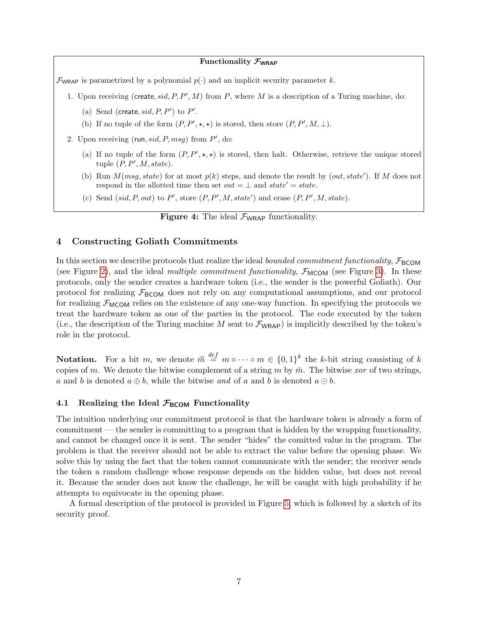#### Functionality  $\mathcal{F}_{WRAP}$

<span id="page-7-1"></span> $\mathcal{F}_{\text{WRAP}}$  is parametrized by a polynomial  $p(\cdot)$  and an implicit security parameter k.

- 1. Upon receiving (create,  $sid, P, P', M$ ) from P, where M is a description of a Turing machine, do:
	- (a) Send (create,  $sid, P, P'$ ) to  $P'$ .
	- (b) If no tuple of the form  $(P, P', \star, \star)$  is stored, then store  $(P, P', M, \perp)$ .
- 2. Upon receiving  $(run, sid, P, msg)$  from  $P'$ , do:
	- (a) If no tuple of the form  $(P, P', \star, \star)$  is stored, then halt. Otherwise, retrieve the unique stored tuple  $(P, P', M, state)$ .
	- (b) Run  $M(msg, state)$  for at most  $p(k)$  steps, and denote the result by  $(out, state')$ . If M does not respond in the allotted time then set  $out = \perp$  and  $state' = state$ .
	- (c) Send  $(sid, P, out)$  to P', store  $(P, P', M, state')$  and erase  $(P, P', M, state)$ .

# Figure 4: The ideal  $\mathcal{F}_{WRAP}$  functionality.

## <span id="page-7-0"></span>4 Constructing Goliath Commitments

In this section we describe protocols that realize the ideal bounded commitment functionality,  $\mathcal{F}_{\text{BCOM}}$ (see Figure [2\)](#page-6-1), and the ideal multiple commitment functionality,  $F_{MCOM}$  (see Figure [3\)](#page-6-2). In these protocols, only the sender creates a hardware token (i.e., the sender is the powerful Goliath). Our protocol for realizing  $\mathcal{F}_{\text{BCOM}}$  does not rely on any computational assumptions, and our protocol for realizing  $\mathcal{F}_{\text{MCOM}}$  relies on the existence of any one-way function. In specifying the protocols we treat the hardware token as one of the parties in the protocol. The code executed by the token (i.e., the description of the Turing machine M sent to  $\mathcal{F}_{WRAP}$ ) is implicitly described by the token's role in the protocol.

**Notation.** For a bit m, we denote  $\vec{m} \stackrel{def}{=} m \circ \cdots \circ m \in \{0,1\}^k$  the k-bit string consisting of k copies of m. We denote the bitwise complement of a string m by  $\bar{m}$ . The bitwise xor of two strings, a and b is denoted  $a \oplus b$ , while the bitwise and of a and b is denoted  $a \odot b$ .

## 4.1 Realizing the Ideal  $\mathcal{F}_{\text{BCOM}}$  Functionality

The intuition underlying our commitment protocol is that the hardware token is already a form of commitment — the sender is committing to a program that is hidden by the wrapping functionality, and cannot be changed once it is sent. The sender "hides" the comitted value in the program. The problem is that the receiver should not be able to extract the value before the opening phase. We solve this by using the fact that the token cannot communicate with the sender; the receiver sends the token a random challenge whose response depends on the hidden value, but does not reveal it. Because the sender does not know the challenge, he will be caught with high probability if he attempts to equivocate in the opening phase.

A formal description of the protocol is provided in Figure [5,](#page-8-0) which is followed by a sketch of its security proof.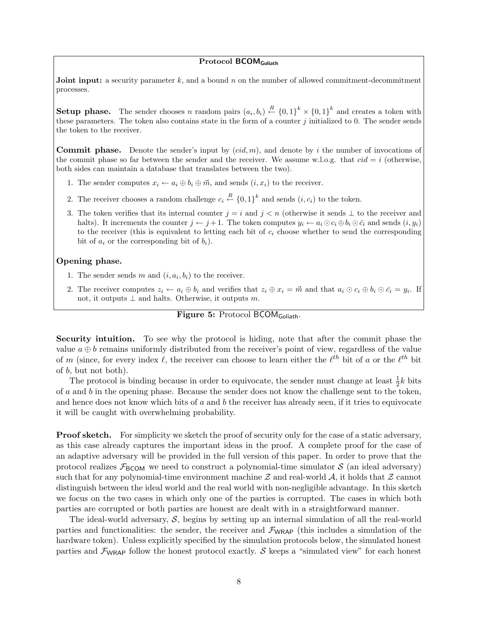#### Protocol BCOMGoliath

<span id="page-8-0"></span>**Joint input:** a security parameter  $k$ , and a bound  $n$  on the number of allowed commitment-decommitment processes.

**Setup phase.** The sender chooses n random pairs  $(a_i, b_i) \stackrel{R}{\leftarrow} \{0, 1\}^k \times \{0, 1\}^k$  and creates a token with these parameters. The token also contains state in the form of a counter  $j$  initialized to 0. The sender sends the token to the receiver.

**Commit phase.** Denote the sender's input by  $(cid, m)$ , and denote by i the number of invocations of the commit phase so far between the sender and the receiver. We assume w.l.o.g. that  $cid = i$  (otherwise, both sides can maintain a database that translates between the two).

- 1. The sender computes  $x_i \leftarrow a_i \oplus b_i \oplus \vec{m}$ , and sends  $(i, x_i)$  to the receiver.
- 2. The receiver chooses a random challenge  $c_i \stackrel{R}{\leftarrow} \{0,1\}^k$  and sends  $(i, c_i)$  to the token.
- 3. The token verifies that its internal counter  $j = i$  and  $j < n$  (otherwise it sends  $\perp$  to the receiver and halts). It increments the counter  $j \leftarrow j+1$ . The token computes  $y_i \leftarrow a_i \odot c_i \oplus b_i \odot \bar{c}_i$  and sends  $(i, y_i)$ to the receiver (this is equivalent to letting each bit of  $c_i$  choose whether to send the corresponding bit of  $a_i$  or the corresponding bit of  $b_i$ ).

#### Opening phase.

- 1. The sender sends m and  $(i, a_i, b_i)$  to the receiver.
- 2. The receiver computes  $z_i \leftarrow a_i \oplus b_i$  and verifies that  $z_i \oplus x_i = \vec{m}$  and that  $a_i \odot c_i \oplus b_i \odot \bar{c}_i = y_i$ . If not, it outputs  $\perp$  and halts. Otherwise, it outputs m.

## Figure 5: Protocol BCOMGoliath.

Security intuition. To see why the protocol is hiding, note that after the commit phase the value  $a \oplus b$  remains uniformly distributed from the receiver's point of view, regardless of the value of m (since, for every index  $\ell$ , the receiver can choose to learn either the  $\ell^{th}$  bit of a or the  $\ell^{th}$  bit of b, but not both).

The protocol is binding because in order to equivocate, the sender must change at least  $\frac{1}{2}k$  bits of  $a$  and  $b$  in the opening phase. Because the sender does not know the challenge sent to the token. and hence does not know which bits of  $a$  and  $b$  the receiver has already seen, if it tries to equivocate it will be caught with overwhelming probability.

**Proof sketch.** For simplicity we sketch the proof of security only for the case of a static adversary, as this case already captures the important ideas in the proof. A complete proof for the case of an adaptive adversary will be provided in the full version of this paper. In order to prove that the protocol realizes  $\mathcal{F}_{\text{BCOM}}$  we need to construct a polynomial-time simulator  $\mathcal{S}$  (an ideal adversary) such that for any polynomial-time environment machine  $\mathcal Z$  and real-world  $\mathcal A$ , it holds that  $\mathcal Z$  cannot distinguish between the ideal world and the real world with non-negligible advantage. In this sketch we focus on the two cases in which only one of the parties is corrupted. The cases in which both parties are corrupted or both parties are honest are dealt with in a straightforward manner.

The ideal-world adversary,  $S$ , begins by setting up an internal simulation of all the real-world parties and functionalities: the sender, the receiver and  $\mathcal{F}_{WRAP}$  (this includes a simulation of the hardware token). Unless explicitly specified by the simulation protocols below, the simulated honest parties and  $\mathcal{F}_{WRAP}$  follow the honest protocol exactly. S keeps a "simulated view" for each honest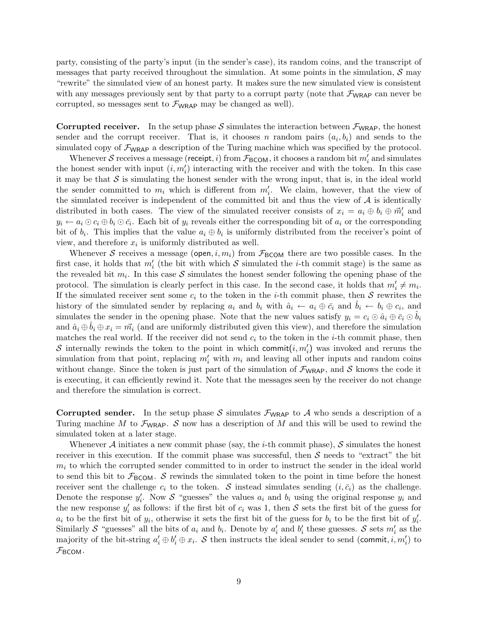party, consisting of the party's input (in the sender's case), its random coins, and the transcript of messages that party received throughout the simulation. At some points in the simulation,  $S$  may "rewrite" the simulated view of an honest party. It makes sure the new simulated view is consistent with any messages previously sent by that party to a corrupt party (note that  $\mathcal{F}_{WRAP}$  can never be corrupted, so messages sent to  $\mathcal{F}_{WRAP}$  may be changed as well).

**Corrupted receiver.** In the setup phase S simulates the interaction between  $\mathcal{F}_{WRAP}$ , the honest sender and the corrupt receiver. That is, it chooses n random pairs  $(a_i, b_i)$  and sends to the simulated copy of  $\mathcal{F}_{WRAP}$  a description of the Turing machine which was specified by the protocol.

Whenever  $\mathcal S$  receives a message (receipt, i) from  $\mathcal F_{\text{BCOM}}$ , it chooses a random bit  $m_i'$  and simulates the honest sender with input  $(i, m'_i)$  interacting with the receiver and with the token. In this case it may be that  $S$  is simulating the honest sender with the wrong input, that is, in the ideal world the sender committed to  $m_i$  which is different from  $m'_i$ . We claim, however, that the view of the simulated receiver is independent of the committed bit and thus the view of  $A$  is identically distributed in both cases. The view of the simulated receiver consists of  $x_i = a_i \oplus b_i \oplus \vec{m}'_i$  and  $y_i \leftarrow a_i \odot c_i \oplus b_i \odot \bar{c_i}$ . Each bit of  $y_i$  reveals either the corresponding bit of  $a_i$  or the corresponding bit of  $b_i$ . This implies that the value  $a_i \oplus b_i$  is uniformly distributed from the receiver's point of view, and therefore  $x_i$  is uniformly distributed as well.

Whenever S receives a message (open, i,  $m_i$ ) from  $\mathcal{F}_{\text{BCOM}}$  there are two possible cases. In the first case, it holds that  $m_i'$  (the bit with which S simulated the *i*-th commit stage) is the same as the revealed bit  $m_i$ . In this case S simulates the honest sender following the opening phase of the protocol. The simulation is clearly perfect in this case. In the second case, it holds that  $m'_i \neq m_i$ . If the simulated receiver sent some  $c_i$  to the token in the *i*-th commit phase, then  $S$  rewrites the history of the simulated sender by replacing  $a_i$  and  $b_i$  with  $\hat{a}_i \leftarrow a_i \oplus \bar{c}_i$  and  $\hat{b}_i \leftarrow b_i \oplus c_i$ , and simulates the sender in the opening phase. Note that the new values satisfy  $y_i = c_i \odot \hat{a}_i \oplus \bar{c}_i \odot \hat{b}_i$ and  $\hat{a}_i \oplus b_i \oplus x_i = \vec{m_i}$  (and are uniformly distributed given this view), and therefore the simulation matches the real world. If the receiver did not send  $c_i$  to the token in the *i*-th commit phase, then S internally rewinds the token to the point in which commit $(i, m'_i)$  was invoked and reruns the simulation from that point, replacing  $m_i'$  with  $m_i$  and leaving all other inputs and random coins without change. Since the token is just part of the simulation of  $\mathcal{F}_{WRAP}$ , and S knows the code it is executing, it can efficiently rewind it. Note that the messages seen by the receiver do not change and therefore the simulation is correct.

**Corrupted sender.** In the setup phase S simulates  $\mathcal{F}_{WRAP}$  to A who sends a description of a Turing machine M to  $\mathcal{F}_{WRAP}$ . S now has a description of M and this will be used to rewind the simulated token at a later stage.

Whenever A initiates a new commit phase (say, the *i*-th commit phase), S simulates the honest receiver in this execution. If the commit phase was successful, then  $S$  needs to "extract" the bit  $m<sub>i</sub>$  to which the corrupted sender committed to in order to instruct the sender in the ideal world to send this bit to  $\mathcal{F}_{\text{BCOM}}$ . S rewinds the simulated token to the point in time before the honest receiver sent the challenge  $c_i$  to the token. S instead simulates sending  $(i, \bar{c}_i)$  as the challenge. Denote the response  $y'_i$ . Now S "guesses" the values  $a_i$  and  $b_i$  using the original response  $y_i$  and the new response  $y'_i$  as follows: if the first bit of  $c_i$  was 1, then S sets the first bit of the guess for  $a_i$  to be the first bit of  $y_i$ , otherwise it sets the first bit of the guess for  $b_i$  to be the first bit of  $y'_i$ . Similarly S "guesses" all the bits of  $a_i$  and  $b_i$ . Denote by  $a'_i$  and  $b'_i$  these guesses. S sets  $m'_i$  as the majority of the bit-string  $a'_i \oplus b'_i \oplus x_i$ . S then instructs the ideal sender to send (commit, i,  $m'_i$ ) to  $\mathcal{F}_{\text{BCOM}}$ .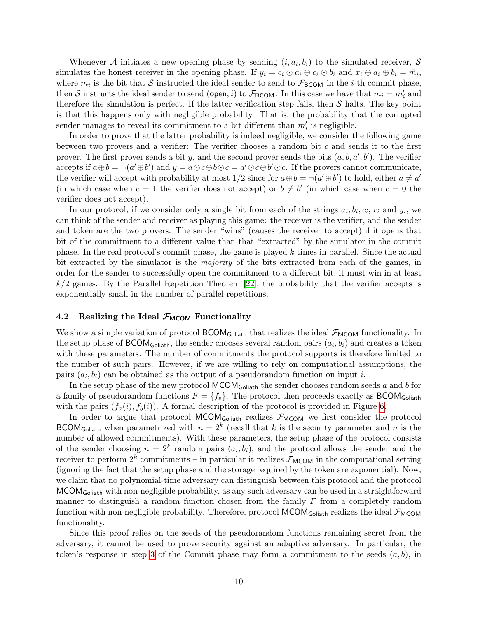Whenever A initiates a new opening phase by sending  $(i, a_i, b_i)$  to the simulated receiver, S simulates the honest receiver in the opening phase. If  $y_i = c_i \odot a_i \oplus \bar{c}_i \odot b_i$  and  $x_i \oplus a_i \oplus b_i = \bar{m}_i$ , where  $m_i$  is the bit that S instructed the ideal sender to send to  $\mathcal{F}_{\text{BCOM}}$  in the *i*-th commit phase, then S instructs the ideal sender to send (open, i) to  $\mathcal{F}_{\text{BCOM}}$ . In this case we have that  $m_i = m'_i$  and therefore the simulation is perfect. If the latter verification step fails, then  $S$  halts. The key point is that this happens only with negligible probability. That is, the probability that the corrupted sender manages to reveal its commitment to a bit different than  $m_i'$  is negligible.

In order to prove that the latter probability is indeed negligible, we consider the following game between two provers and a verifier: The verifier chooses a random bit  $c$  and sends it to the first prover. The first prover sends a bit y, and the second prover sends the bits  $(a, b, a', b')$ . The verifier accepts if  $a \oplus b = \neg (a' \oplus b')$  and  $y = a \odot c \oplus b \odot \overline{c} = a' \odot c \oplus b' \odot \overline{c}$ . If the provers cannot communicate, the verifier will accept with probability at most  $1/2$  since for  $a \oplus b = \neg (a' \oplus b')$  to hold, either  $a \neq a'$ (in which case when  $c = 1$  the verifier does not accept) or  $b \neq b'$  (in which case when  $c = 0$  the verifier does not accept).

In our protocol, if we consider only a single bit from each of the strings  $a_i, b_i, c_i, x_i$  and  $y_i$ , we can think of the sender and receiver as playing this game: the receiver is the verifier, and the sender and token are the two provers. The sender "wins" (causes the receiver to accept) if it opens that bit of the commitment to a different value than that "extracted" by the simulator in the commit phase. In the real protocol's commit phase, the game is played  $k$  times in parallel. Since the actual bit extracted by the simulator is the *majority* of the bits extracted from each of the games, in order for the sender to successfully open the commitment to a different bit, it must win in at least  $k/2$  games. By the Parallel Repetition Theorem [\[22\]](#page-16-15), the probability that the verifier accepts is exponentially small in the number of parallel repetitions.

## 4.2 Realizing the Ideal  $F_{MCOM}$  Functionality

We show a simple variation of protocol  $BCOM_{\text{Goliath}}$  that realizes the ideal  $\mathcal{F}_{\text{MCOM}}$  functionality. In the setup phase of  $\text{BCOM}_{\text{Goldath}}$ , the sender chooses several random pairs  $(a_i, b_i)$  and creates a token with these parameters. The number of commitments the protocol supports is therefore limited to the number of such pairs. However, if we are willing to rely on computational assumptions, the pairs  $(a_i, b_i)$  can be obtained as the output of a pseudorandom function on input i.

In the setup phase of the new protocol  $\mathsf{MCOM}_\mathsf{Goliath}$  the sender chooses random seeds a and b for a family of pseudorandom functions  $F = \{f_s\}$ . The protocol then proceeds exactly as BCOM<sub>Goliath</sub> with the pairs  $(f_a(i), f_b(i))$ . A formal description of the protocol is provided in Figure [6.](#page-11-1)

In order to argue that protocol  $MCOM_{\text{Goliath}}$  realizes  $F_{MCOM}$  we first consider the protocol BCOM<sub>Goliath</sub> when parametrized with  $n = 2<sup>k</sup>$  (recall that k is the security parameter and n is the number of allowed commitments). With these parameters, the setup phase of the protocol consists of the sender choosing  $n = 2^k$  random pairs  $(a_i, b_i)$ , and the protocol allows the sender and the receiver to perform  $2^k$  commitments – in particular it realizes  $\mathcal{F}_{\text{MCOM}}$  in the computational setting (ignoring the fact that the setup phase and the storage required by the token are exponential). Now, we claim that no polynomial-time adversary can distinguish between this protocol and the protocol MCOM<sub>Goliath</sub> with non-negligible probability, as any such adversary can be used in a straightforward manner to distinguish a random function chosen from the family  $F$  from a completely random function with non-negligible probability. Therefore, protocol  $MCOM_{\text{Goliath}}$  realizes the ideal  $\mathcal{F}_{MCOM}$ functionality.

Since this proof relies on the seeds of the pseudorandom functions remaining secret from the adversary, it cannot be used to prove security against an adaptive adversary. In particular, the token's response in step [3](#page-11-2) of the Commit phase may form a commitment to the seeds  $(a, b)$ , in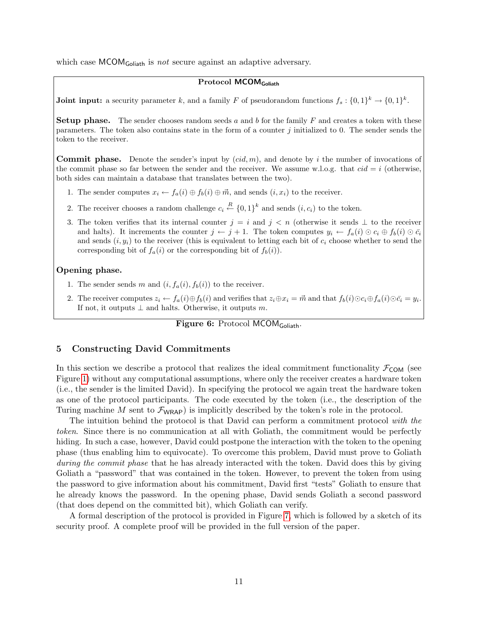which case MCOM<sub>Goliath</sub> is *not* secure against an adaptive adversary.

## Protocol MCOMGoliath

<span id="page-11-1"></span>**Joint input:** a security parameter k, and a family F of pseudorandom functions  $f_s: \{0,1\}^k \to \{0,1\}^k$ .

**Setup phase.** The sender chooses random seeds a and b for the family F and creates a token with these parameters. The token also contains state in the form of a counter  $j$  initialized to 0. The sender sends the token to the receiver.

**Commit phase.** Denote the sender's input by  $(cid, m)$ , and denote by i the number of invocations of the commit phase so far between the sender and the receiver. We assume w.l.o.g. that  $cid = i$  (otherwise, both sides can maintain a database that translates between the two).

- 1. The sender computes  $x_i \leftarrow f_a(i) \oplus f_b(i) \oplus \vec{m}$ , and sends  $(i, x_i)$  to the receiver.
- 2. The receiver chooses a random challenge  $c_i \stackrel{R}{\leftarrow} \{0,1\}^k$  and sends  $(i, c_i)$  to the token.
- <span id="page-11-2"></span>3. The token verifies that its internal counter  $j = i$  and  $j < n$  (otherwise it sends  $\perp$  to the receiver and halts). It increments the counter  $j \leftarrow j + 1$ . The token computes  $y_i \leftarrow f_a(i) \odot c_i \oplus f_b(i) \odot \bar{c_i}$ and sends  $(i, y_i)$  to the receiver (this is equivalent to letting each bit of  $c_i$  choose whether to send the corresponding bit of  $f_a(i)$  or the corresponding bit of  $f_b(i)$ .

## Opening phase.

- 1. The sender sends m and  $(i, f_a(i), f_b(i))$  to the receiver.
- 2. The receiver computes  $z_i \leftarrow f_a(i) \oplus f_b(i)$  and verifies that  $z_i \oplus x_i = \vec{m}$  and that  $f_b(i) \odot c_i \oplus f_a(i) \odot \bar{c_i} = y_i$ . If not, it outputs  $\perp$  and halts. Otherwise, it outputs m.

## Figure 6: Protocol MCOM<sub>Goliath</sub>.

#### <span id="page-11-0"></span>5 Constructing David Commitments

In this section we describe a protocol that realizes the ideal commitment functionality  $\mathcal{F}_{COM}$  (see Figure [1\)](#page-5-0) without any computational assumptions, where only the receiver creates a hardware token (i.e., the sender is the limited David). In specifying the protocol we again treat the hardware token as one of the protocol participants. The code executed by the token (i.e., the description of the Turing machine M sent to  $\mathcal{F}_{WRAP}$  is implicitly described by the token's role in the protocol.

The intuition behind the protocol is that David can perform a commitment protocol with the token. Since there is no communication at all with Goliath, the commitment would be perfectly hiding. In such a case, however, David could postpone the interaction with the token to the opening phase (thus enabling him to equivocate). To overcome this problem, David must prove to Goliath during the commit phase that he has already interacted with the token. David does this by giving Goliath a "password" that was contained in the token. However, to prevent the token from using the password to give information about his commitment, David first "tests" Goliath to ensure that he already knows the password. In the opening phase, David sends Goliath a second password (that does depend on the committed bit), which Goliath can verify.

A formal description of the protocol is provided in Figure [7,](#page-12-0) which is followed by a sketch of its security proof. A complete proof will be provided in the full version of the paper.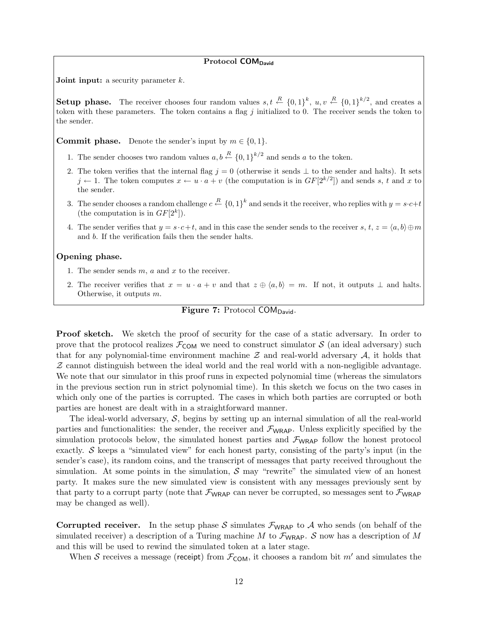#### Protocol COM<sub>David</sub>

<span id="page-12-0"></span>**Joint input:** a security parameter  $k$ .

**Setup phase.** The receiver chooses four random values  $s, t \leftarrow \{0,1\}^k$ ,  $u, v \leftarrow \{0,1\}^{k/2}$ , and creates a token with these parameters. The token contains a flag  $j$  initialized to 0. The receiver sends the token to the sender.

**Commit phase.** Denote the sender's input by  $m \in \{0, 1\}$ .

- 1. The sender chooses two random values  $a, b \stackrel{R}{\leftarrow} \{0,1\}^{k/2}$  and sends a to the token.
- 2. The token verifies that the internal flag  $j = 0$  (otherwise it sends  $\perp$  to the sender and halts). It sets  $j \leftarrow 1$ . The token computes  $x \leftarrow u \cdot a + v$  (the computation is in  $GF[2^{k/2}]$ ) and sends s, t and x to the sender.
- 3. The sender chooses a random challenge  $c \stackrel{R}{\leftarrow} \{0,1\}^k$  and sends it the receiver, who replies with  $y = s \cdot c + t$ (the computation is in  $GF[2^k]$ ).
- 4. The sender verifies that  $y = s \cdot c + t$ , and in this case the sender sends to the receiver  $s, t, z = \langle a, b \rangle \oplus m$ and b. If the verification fails then the sender halts.

#### Opening phase.

- 1. The sender sends  $m$ ,  $a$  and  $x$  to the receiver.
- 2. The receiver verifies that  $x = u \cdot a + v$  and that  $z \oplus \langle a, b \rangle = m$ . If not, it outputs  $\perp$  and halts. Otherwise, it outputs m.

## Figure 7: Protocol COMDavid.

**Proof sketch.** We sketch the proof of security for the case of a static adversary. In order to prove that the protocol realizes  $\mathcal{F}_{COM}$  we need to construct simulator S (an ideal adversary) such that for any polynomial-time environment machine  $\mathcal Z$  and real-world adversary  $\mathcal A$ , it holds that  $Z$  cannot distinguish between the ideal world and the real world with a non-negligible advantage. We note that our simulator in this proof runs in expected polynomial time (whereas the simulators in the previous section run in strict polynomial time). In this sketch we focus on the two cases in which only one of the parties is corrupted. The cases in which both parties are corrupted or both parties are honest are dealt with in a straightforward manner.

The ideal-world adversary,  $S$ , begins by setting up an internal simulation of all the real-world parties and functionalities: the sender, the receiver and  $\mathcal{F}_{WRAP}$ . Unless explicitly specified by the simulation protocols below, the simulated honest parties and  $\mathcal{F}_{WRAP}$  follow the honest protocol exactly.  $S$  keeps a "simulated view" for each honest party, consisting of the party's input (in the sender's case), its random coins, and the transcript of messages that party received throughout the simulation. At some points in the simulation,  $\mathcal S$  may "rewrite" the simulated view of an honest party. It makes sure the new simulated view is consistent with any messages previously sent by that party to a corrupt party (note that  $\mathcal{F}_{WRAP}$  can never be corrupted, so messages sent to  $\mathcal{F}_{WRAP}$ may be changed as well).

**Corrupted receiver.** In the setup phase S simulates  $\mathcal{F}_{WRAP}$  to A who sends (on behalf of the simulated receiver) a description of a Turing machine M to  $\mathcal{F}_{WRAP}$ . S now has a description of M and this will be used to rewind the simulated token at a later stage.

When S receives a message (receipt) from  $\mathcal{F}_{COM}$ , it chooses a random bit m' and simulates the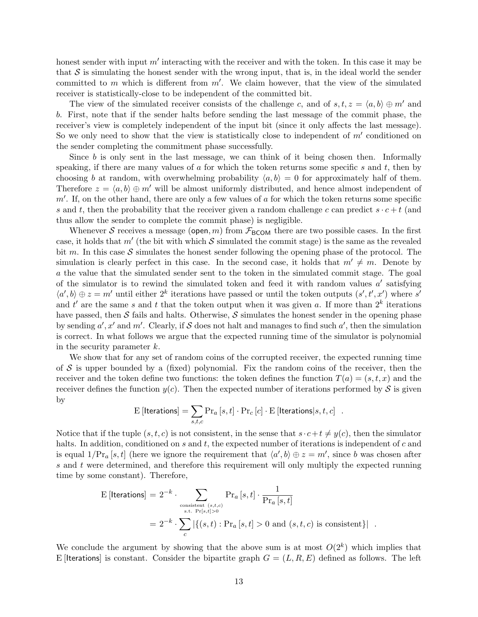honest sender with input  $m'$  interacting with the receiver and with the token. In this case it may be that  $S$  is simulating the honest sender with the wrong input, that is, in the ideal world the sender committed to  $m$  which is different from  $m'$ . We claim however, that the view of the simulated receiver is statistically-close to be independent of the committed bit.

The view of the simulated receiver consists of the challenge c, and of  $s, t, z = \langle a, b \rangle \oplus m'$  and b. First, note that if the sender halts before sending the last message of the commit phase, the receiver's view is completely independent of the input bit (since it only affects the last message). So we only need to show that the view is statistically close to independent of  $m'$  conditioned on the sender completing the commitment phase successfully.

Since  $b$  is only sent in the last message, we can think of it being chosen then. Informally speaking, if there are many values of  $a$  for which the token returns some specific  $s$  and  $t$ , then by choosing b at random, with overwhelming probability  $\langle a, b \rangle = 0$  for approximately half of them. Therefore  $z = \langle a, b \rangle \oplus m'$  will be almost uniformly distributed, and hence almost independent of  $m'$ . If, on the other hand, there are only a few values of a for which the token returns some specific s and t, then the probability that the receiver given a random challenge c can predict  $s \cdot c + t$  (and thus allow the sender to complete the commit phase) is negligible.

Whenever S receives a message (open, m) from  $\mathcal{F}_{\text{BCOM}}$  there are two possible cases. In the first case, it holds that  $m'$  (the bit with which S simulated the commit stage) is the same as the revealed bit m. In this case  $S$  simulates the honest sender following the opening phase of the protocol. The simulation is clearly perfect in this case. In the second case, it holds that  $m' \neq m$ . Denote by a the value that the simulated sender sent to the token in the simulated commit stage. The goal of the simulator is to rewind the simulated token and feed it with random values  $a'$  satisfying  $\langle a', b \rangle \oplus z = m'$  until either  $2^k$  iterations have passed or until the token outputs  $(s', t', x')$  where s' and t' are the same s and t that the token output when it was given a. If more than  $2^k$  iterations have passed, then S fails and halts. Otherwise, S simulates the honest sender in the opening phase by sending  $a', x'$  and m'. Clearly, if S does not halt and manages to find such  $a'$ , then the simulation is correct. In what follows we argue that the expected running time of the simulator is polynomial in the security parameter k.

We show that for any set of random coins of the corrupted receiver, the expected running time of  $S$  is upper bounded by a (fixed) polynomial. Fix the random coins of the receiver, then the receiver and the token define two functions: the token defines the function  $T(a) = (s, t, x)$  and the receiver defines the function  $y(c)$ . Then the expected number of iterations performed by S is given by

$$
\mathrm{E}\left[\mathsf{Iterations}\right] = \sum_{s,t,c} \Pr_a\left[s,t\right] \cdot \Pr_c\left[c\right] \cdot \mathrm{E}\left[\mathsf{Iterations}|s,t,c\right] \enspace .
$$

Notice that if the tuple  $(s, t, c)$  is not consistent, in the sense that  $s \cdot c + t \neq y(c)$ , then the simulator halts. In addition, conditioned on s and t, the expected number of iterations is independent of c and is equal  $1/\text{Pr}_a[s, t]$  (here we ignore the requirement that  $\langle a', b \rangle \oplus z = m'$ , since b was chosen after s and t were determined, and therefore this requirement will only multiply the expected running time by some constant). Therefore,

$$
\begin{aligned} \text{E}\left[\text{Iterations}\right] &= 2^{-k} \cdot \sum_{\text{consistent } (s,t,c) \atop \text{s.t. } \text{Pr}[s,t] > 0} \text{Pr}_a\left[s,t\right] \cdot \frac{1}{\text{Pr}_a\left[s,t\right]} \\ &= 2^{-k} \cdot \sum_c |\{(s,t): \text{Pr}_a\left[s,t\right] > 0 \text{ and } (s,t,c) \text{ is consistent}\}| \end{aligned}
$$

We conclude the argument by showing that the above sum is at most  $O(2<sup>k</sup>)$  which implies that E [Iterations] is constant. Consider the bipartite graph  $G = (L, R, E)$  defined as follows. The left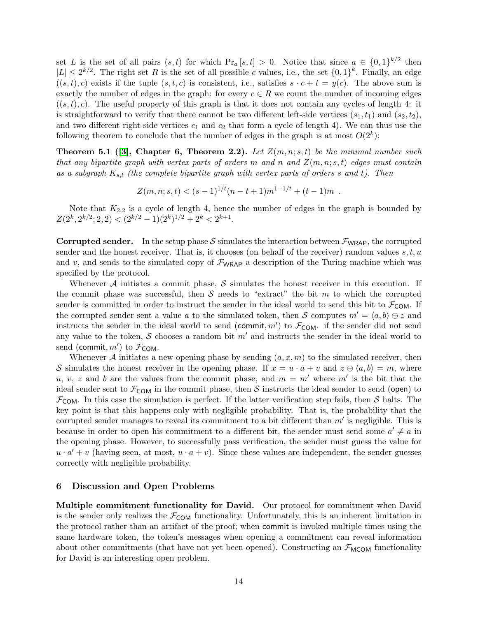set L is the set of all pairs  $(s,t)$  for which  $Pr_a[s,t] > 0$ . Notice that since  $a \in \{0,1\}^{k/2}$  then  $|L| \leq 2^{k/2}$ . The right set R is the set of all possible c values, i.e., the set  $\{0,1\}^k$ . Finally, an edge  $((s,t), c)$  exists if the tuple  $(s,t, c)$  is consistent, i.e., satisfies  $s \cdot c + t = y(c)$ . The above sum is exactly the number of edges in the graph: for every  $c \in R$  we count the number of incoming edges  $((s,t), c)$ . The useful property of this graph is that it does not contain any cycles of length 4: it is straightforward to verify that there cannot be two different left-side vertices  $(s_1, t_1)$  and  $(s_2, t_2)$ , and two different right-side vertices  $c_1$  and  $c_2$  that form a cycle of length 4). We can thus use the following theorem to conclude that the number of edges in the graph is at most  $O(2^k)$ :

**Theorem 5.1** ([\[3\]](#page-15-5), Chapter 6, Theorem 2.2). Let  $Z(m, n; s, t)$  be the minimal number such that any bipartite graph with vertex parts of orders m and n and  $Z(m, n; s, t)$  edges must contain as a subgraph  $K_{s,t}$  (the complete bipartite graph with vertex parts of orders s and t). Then

$$
Z(m, n; s, t) < (s-1)^{1/t} (n-t+1) m^{1-1/t} + (t-1)m.
$$

Note that  $K_{2,2}$  is a cycle of length 4, hence the number of edges in the graph is bounded by  $Z(2^k, 2^{k/2}; 2, 2) < (2^{k/2} - 1)(2^k)^{1/2} + 2^k < 2^{k+1}.$ 

**Corrupted sender.** In the setup phase S simulates the interaction between  $\mathcal{F}_{WRAP}$ , the corrupted sender and the honest receiver. That is, it chooses (on behalf of the receiver) random values  $s, t, u$ and v, and sends to the simulated copy of  $\mathcal{F}_{WRAP}$  a description of the Turing machine which was specified by the protocol.

Whenever  $A$  initiates a commit phase,  $S$  simulates the honest receiver in this execution. If the commit phase was successful, then  $S$  needs to "extract" the bit  $m$  to which the corrupted sender is committed in order to instruct the sender in the ideal world to send this bit to  $\mathcal{F}_{COM}$ . If the corrupted sender sent a value a to the simulated token, then S computes  $m' = \langle a, b \rangle \oplus z$  and instructs the sender in the ideal world to send (commit,  $m'$ ) to  $\mathcal{F}_{COM}$ . if the sender did not send any value to the token, S chooses a random bit  $m'$  and instructs the sender in the ideal world to send (commit,  $m'$ ) to  $\mathcal{F}_{\mathsf{COM}}$ .

Whenever A initiates a new opening phase by sending  $(a, x, m)$  to the simulated receiver, then S simulates the honest receiver in the opening phase. If  $x = u \cdot a + v$  and  $z \oplus \langle a, b \rangle = m$ , where u, v, z and b are the values from the commit phase, and  $m = m'$  where m' is the bit that the ideal sender sent to  $\mathcal{F}_{COM}$  in the commit phase, then S instructs the ideal sender to send (open) to  $\mathcal{F}_{COM}$ . In this case the simulation is perfect. If the latter verification step fails, then S halts. The key point is that this happens only with negligible probability. That is, the probability that the corrupted sender manages to reveal its commitment to a bit different than  $m'$  is negligible. This is because in order to open his commitment to a different bit, the sender must send some  $a' \neq a$  in the opening phase. However, to successfully pass verification, the sender must guess the value for  $u \cdot a' + v$  (having seen, at most,  $u \cdot a + v$ ). Since these values are independent, the sender guesses correctly with negligible probability.

### <span id="page-14-0"></span>6 Discussion and Open Problems

Multiple commitment functionality for David. Our protocol for commitment when David is the sender only realizes the  $\mathcal{F}_{COM}$  functionality. Unfortunately, this is an inherent limitation in the protocol rather than an artifact of the proof; when commit is invoked multiple times using the same hardware token, the token's messages when opening a commitment can reveal information about other commitments (that have not yet been opened). Constructing an  $\mathcal{F}_{MCOM}$  functionality for David is an interesting open problem.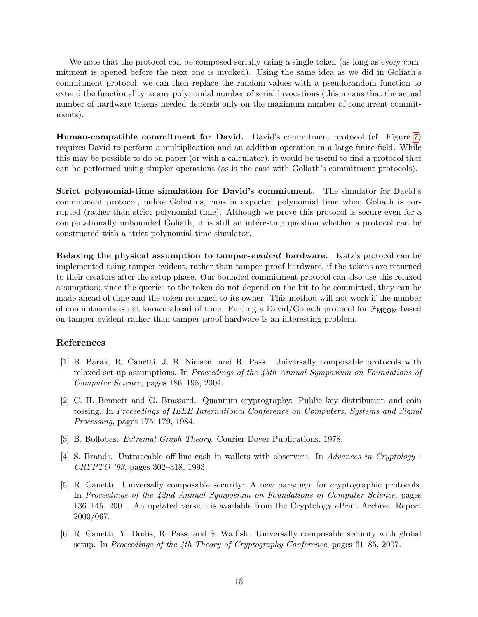We note that the protocol can be composed serially using a single token (as long as every commitment is opened before the next one is invoked). Using the same idea as we did in Goliath's commitment protocol, we can then replace the random values with a pseudorandom function to extend the functionality to any polynomial number of serial invocations (this means that the actual number of hardware tokens needed depends only on the maximum number of concurrent commitments).

Human-compatible commitment for David. David's commitment protocol (cf. Figure [7\)](#page-12-0) requires David to perform a multiplication and an addition operation in a large finite field. While this may be possible to do on paper (or with a calculator), it would be useful to find a protocol that can be performed using simpler operations (as is the case with Goliath's commitment protocols).

Strict polynomial-time simulation for David's commitment. The simulator for David's commitment protocol, unlike Goliath's, runs in expected polynomial time when Goliath is corrupted (rather than strict polynomial time). Although we prove this protocol is secure even for a computationally unbounded Goliath, it is still an interesting question whether a protocol can be constructed with a strict polynomial-time simulator.

Relaxing the physical assumption to tamper-evident hardware. Katz's protocol can be implemented using tamper-evident, rather than tamper-proof hardware, if the tokens are returned to their creators after the setup phase. Our bounded commitment protocol can also use this relaxed assumption; since the queries to the token do not depend on the bit to be committed, they can be made ahead of time and the token returned to its owner. This method will not work if the number of commitments is not known ahead of time. Finding a David/Goliath protocol for  $\mathcal{F}_{MCOM}$  based on tamper-evident rather than tamper-proof hardware is an interesting problem.

## References

- <span id="page-15-1"></span>[1] B. Barak, R. Canetti, J. B. Nielsen, and R. Pass. Universally composable protocols with relaxed set-up assumptions. In Proceedings of the 45th Annual Symposium on Foundations of Computer Science, pages 186–195, 2004.
- <span id="page-15-3"></span>[2] C. H. Bennett and G. Brassard. Quantum cryptography: Public key distribution and coin tossing. In Proceedings of IEEE International Conference on Computers, Systems and Signal Processing, pages 175–179, 1984.
- <span id="page-15-5"></span>[3] B. Bollobas. Extremal Graph Theory. Courier Dover Publications, 1978.
- <span id="page-15-4"></span>[4] S. Brands. Untraceable off-line cash in wallets with observers. In Advances in Cryptology - CRYPTO '93, pages 302–318, 1993.
- <span id="page-15-0"></span>[5] R. Canetti. Universally composable security: A new paradigm for cryptographic protocols. In Proceedings of the 42nd Annual Symposium on Foundations of Computer Science, pages 136–145, 2001. An updated version is available from the Cryptology ePrint Archive, Report 2000/067.
- <span id="page-15-2"></span>[6] R. Canetti, Y. Dodis, R. Pass, and S. Walfish. Universally composable security with global setup. In Proceedings of the 4th Theory of Cryptography Conference, pages  $61-85$ , 2007.